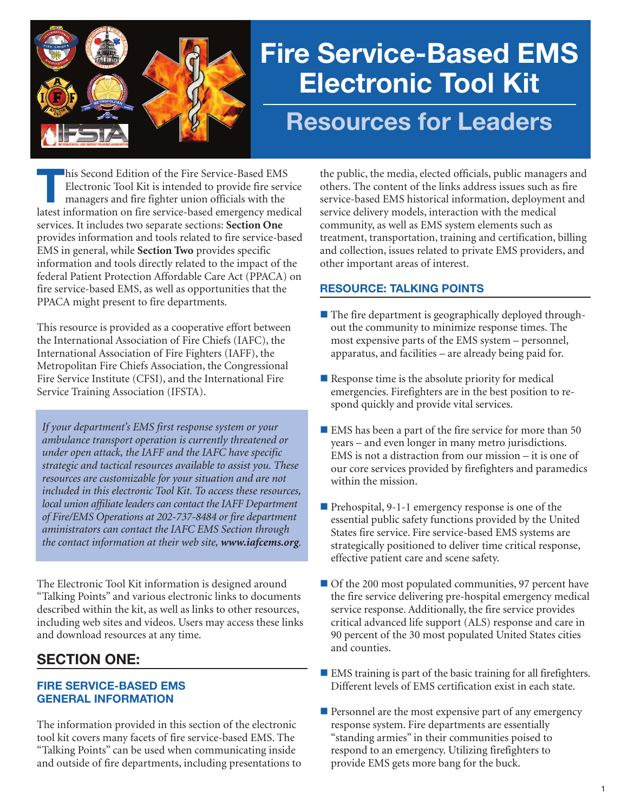

# **Fire Service-Based EMS Electronic Tool Kit Resources for Leaders**

**This Second Edition of the Fire Service-Based EMS**<br>Electronic Tool Kit is intended to provide fire served managers and fire fighter union officials with the<br>latest information on fire service based emergency medi Electronic Tool Kit is intended to provide fire service latest information on fire service-based emergency medical services. It includes two separate sections: **Section One** provides information and tools related to fire service-based EMS in general, while **Section Two** provides specific information and tools directly related to the impact of the federal Patient Protection Affordable Care Act (PPACA) on fire service-based EMS, as well as opportunities that the PPACA might present to fire departments.

This resource is provided as a cooperative effort between the International Association of Fire Chiefs (IAFC), the International Association of Fire Fighters (IAFF), the Metropolitan Fire Chiefs Association, the Congressional Fire Service Institute (CFSI), and the International Fire Service Training Association (IFSTA).

*If your department's EMS first response system or your ambulance transport operation is currently threatened or under open attack, the IAFF and the IAFC have specific strategic and tactical resources available to assist you. These resources are customizable for your situation and are not included in this electronic Tool Kit. To access these resources, local union affiliate leaders can contact the IAFF Department of Fire/EMS Operations at 202-737-8484 or fire department aministrators can contact the IAFC EMS Section through the contact information at their web site, www.iafcems.org.*

The Electronic Tool Kit information is designed around "Talking Points" and various electronic links to documents described within the kit, as well as links to other resources, including web sites and videos. Users may access these links and download resources at any time.

# **SECTION ONE:**

# **FIRE SERVICE-BASED EMS GENERAL INFORMATION**

The information provided in this section of the electronic tool kit covers many facets of fire service-based EMS. The "Talking Points" can be used when communicating inside and outside of fire departments, including presentations to the public, the media, elected officials, public managers and others. The content of the links address issues such as fire service-based EMS historical information, deployment and service delivery models, interaction with the medical community, as well as EMS system elements such as treatment, transportation, training and certification, billing and collection, issues related to private EMS providers, and other important areas of interest.

# **RESOURCE: TALKING POINTS**

- $\blacksquare$  The fire department is geographically deployed throughout the community to minimize response times. The most expensive parts of the EMS system – personnel, apparatus, and facilities – are already being paid for.
- $\blacksquare$  Response time is the absolute priority for medical emergencies. Firefighters are in the best position to respond quickly and provide vital services.
- $\blacksquare$  EMS has been a part of the fire service for more than 50 years – and even longer in many metro jurisdictions. EMS is not a distraction from our mission – it is one of our core services provided by firefighters and paramedics within the mission.
- Prehospital, 9-1-1 emergency response is one of the essential public safety functions provided by the United States fire service. Fire service-based EMS systems are strategically positioned to deliver time critical response, effective patient care and scene safety.
- $\blacksquare$  Of the 200 most populated communities, 97 percent have the fire service delivering pre-hospital emergency medical service response. Additionally, the fire service provides critical advanced life support (ALS) response and care in 90 percent of the 30 most populated United States cities and counties.
- $\blacksquare$  EMS training is part of the basic training for all firefighters. Different levels of EMS certification exist in each state.
- $\blacksquare$  Personnel are the most expensive part of any emergency response system. Fire departments are essentially "standing armies" in their communities poised to respond to an emergency. Utilizing firefighters to provide EMS gets more bang for the buck.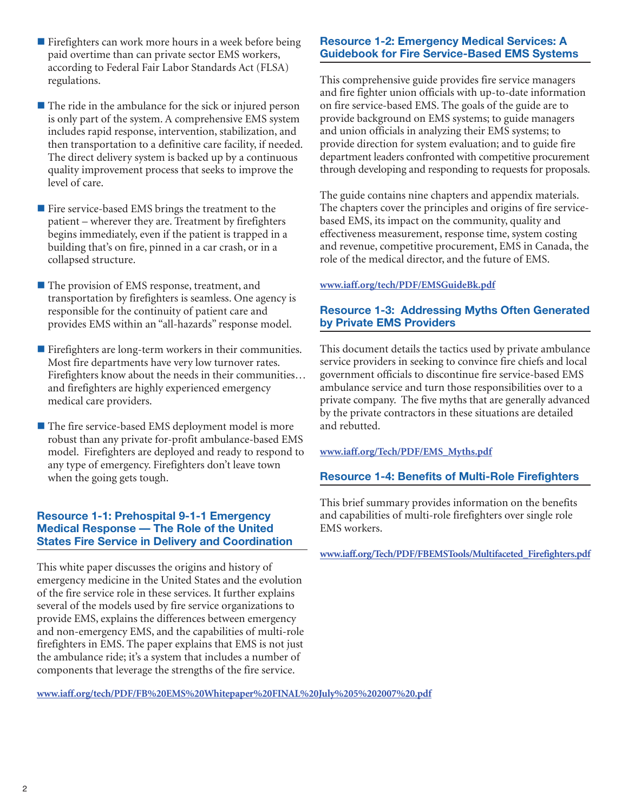- $\blacksquare$  Firefighters can work more hours in a week before being paid overtime than can private sector EMS workers, according to Federal Fair Labor Standards Act (FLSA) regulations.
- $\blacksquare$  The ride in the ambulance for the sick or injured person is only part of the system. A comprehensive EMS system includes rapid response, intervention, stabilization, and then transportation to a definitive care facility, if needed. The direct delivery system is backed up by a continuous quality improvement process that seeks to improve the level of care.
- $\blacksquare$  Fire service-based EMS brings the treatment to the patient – wherever they are. Treatment by firefighters begins immediately, even if the patient is trapped in a building that's on fire, pinned in a car crash, or in a collapsed structure.
- The provision of EMS response, treatment, and transportation by firefighters is seamless. One agency is responsible for the continuity of patient care and provides EMS within an "all-hazards" response model.
- $\blacksquare$  Firefighters are long-term workers in their communities. Most fire departments have very low turnover rates. Firefighters know about the needs in their communities… and firefighters are highly experienced emergency medical care providers.
- $\blacksquare$  The fire service-based EMS deployment model is more robust than any private for-profit ambulance-based EMS model. Firefighters are deployed and ready to respond to any type of emergency. Firefighters don't leave town when the going gets tough.

# **Resource 1-1: Prehospital 9-1-1 Emergency Medical Response — The Role of the United States Fire Service in Delivery and Coordination**

This white paper discusses the origins and history of emergency medicine in the United States and the evolution of the fire service role in these services. It further explains several of the models used by fire service organizations to provide EMS, explains the differences between emergency and non-emergency EMS, and the capabilities of multi-role firefighters in EMS. The paper explains that EMS is not just the ambulance ride; it's a system that includes a number of components that leverage the strengths of the fire service.

# **Resource 1-2: Emergency Medical Services: A Guidebook for Fire Service-Based EMS Systems**

This comprehensive guide provides fire service managers and fire fighter union officials with up-to-date information on fire service-based EMS. The goals of the guide are to provide background on EMS systems; to guide managers and union officials in analyzing their EMS systems; to provide direction for system evaluation; and to guide fire department leaders confronted with competitive procurement through developing and responding to requests for proposals.

The guide contains nine chapters and appendix materials. The chapters cover the principles and origins of fire servicebased EMS, its impact on the community, quality and effectiveness measurement, response time, system costing and revenue, competitive procurement, EMS in Canada, the role of the medical director, and the future of EMS.

#### **www.iaff.org/tech/PDF/EMSGuideBk.pdf**

## **Resource 1-3: Addressing Myths Often Generated by Private EMS Providers**

This document details the tactics used by private ambulance service providers in seeking to convince fire chiefs and local government officials to discontinue fire service-based EMS ambulance service and turn those responsibilities over to a private company. The five myths that are generally advanced by the private contractors in these situations are detailed and rebutted.

#### **www.iaff.org/Tech/PDF/EMS\_Myths.pdf**

#### **Resource 1-4: Benefits of Multi-Role Firefighters**

This brief summary provides information on the benefits and capabilities of multi-role firefighters over single role EMS workers.

**www.iaff.org/Tech/PDF/FBEMSTools/Multifaceted\_Firefighters.pdf**

**www.iaff.org/tech/PDF/FB%20EMS%20Whitepaper%20FINAL%20July%205%202007%20.pdf**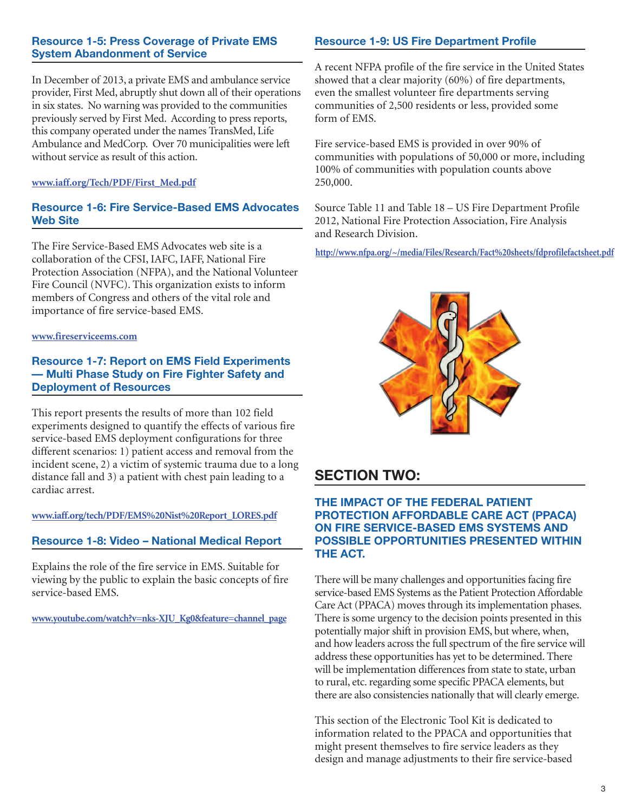#### **Resource 1-5: Press Coverage of Private EMS System Abandonment of Service**

In December of 2013, a private EMS and ambulance service provider, First Med, abruptly shut down all of their operations in six states. No warning was provided to the communities previously served by First Med. According to press reports, this company operated under the names TransMed, Life Ambulance and MedCorp. Over 70 municipalities were left without service as result of this action.

#### **www.iaff.org/Tech/PDF/First\_Med.pdf**

#### **Resource 1-6: Fire Service-Based EMS Advocates Web Site**

The Fire Service-Based EMS Advocates web site is a collaboration of the CFSI, IAFC, IAFF, National Fire Protection Association (NFPA), and the National Volunteer Fire Council (NVFC). This organization exists to inform members of Congress and others of the vital role and importance of fire service-based EMS.

#### **www.fireserviceems.com**

#### **Resource 1-7: Report on EMS Field Experiments — Multi Phase Study on Fire Fighter Safety and Deployment of Resources**

This report presents the results of more than 102 field experiments designed to quantify the effects of various fire service-based EMS deployment configurations for three different scenarios: 1) patient access and removal from the incident scene, 2) a victim of systemic trauma due to a long distance fall and 3) a patient with chest pain leading to a cardiac arrest.

**www.iaff.org/tech/PDF/EMS%20Nist%20Report\_LORES.pdf**

# **Resource 1-8: Video – National Medical Report**

Explains the role of the fire service in EMS. Suitable for viewing by the public to explain the basic concepts of fire service-based EMS.

**www.youtube.com/watch?v=nks-XJU\_Kg0&feature=channel\_page**

# **Resource 1-9: US Fire Department Profile**

A recent NFPA profile of the fire service in the United States showed that a clear majority (60%) of fire departments, even the smallest volunteer fire departments serving communities of 2,500 residents or less, provided some form of EMS.

Fire service-based EMS is provided in over 90% of communities with populations of 50,000 or more, including 100% of communities with population counts above 250,000.

Source Table 11 and Table 18 – US Fire Department Profile 2012, National Fire Protection Association, Fire Analysis and Research Division.

**http://www.nfpa.org/~/media/Files/Research/Fact%20sheets/fdprofilefactsheet.pdf**



# **SECTION TWO:**

#### **THE IMPACT OF THE FEDERAL PATIENT PROTECTION AFFORDABLE CARE ACT (PPACA) ON FIRE SERVICE-BASED EMS SYSTEMS AND POSSIBLE OPPORTUNITIES PRESENTED WITHIN THE ACT.**

There will be many challenges and opportunities facing fire service-based EMS Systems as the Patient Protection Affordable Care Act (PPACA) moves through its implementation phases. There is some urgency to the decision points presented in this potentially major shift in provision EMS, but where, when, and how leaders across the full spectrum of the fire service will address these opportunities has yet to be determined. There will be implementation differences from state to state, urban to rural, etc. regarding some specific PPACA elements, but there are also consistencies nationally that will clearly emerge.

This section of the Electronic Tool Kit is dedicated to information related to the PPACA and opportunities that might present themselves to fire service leaders as they design and manage adjustments to their fire service-based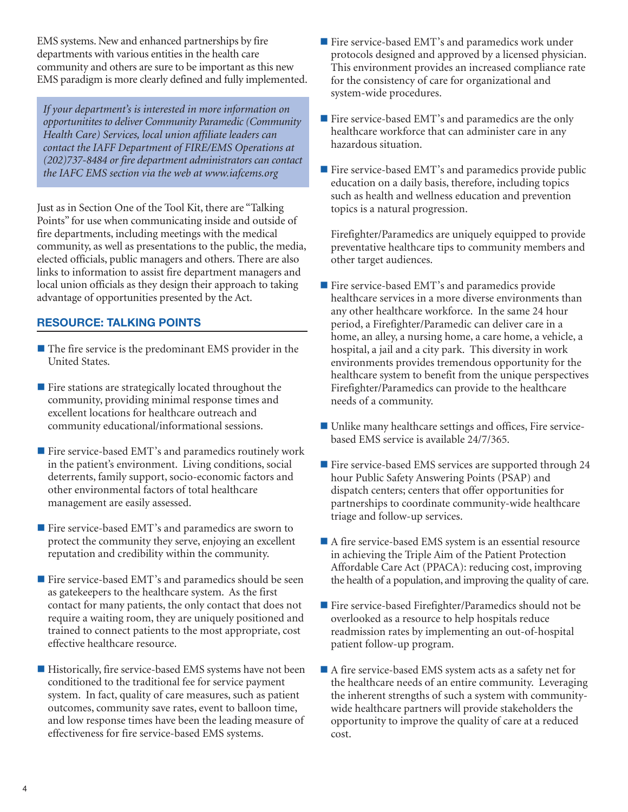EMS systems. New and enhanced partnerships by fire departments with various entities in the health care community and others are sure to be important as this new EMS paradigm is more clearly defined and fully implemented.

*If your department's is interested in more information on opportunitites to deliver Community Paramedic (Community Health Care) Services, local union affiliate leaders can contact the IAFF Department of FIRE/EMS Operations at (202)737-8484 or fire department administrators can contact the IAFC EMS section via the web at www.iafcems.org*

Just as in Section One of the Tool Kit, there are "Talking Points" for use when communicating inside and outside of fire departments, including meetings with the medical community, as well as presentations to the public, the media, elected officials, public managers and others. There are also links to information to assist fire department managers and local union officials as they design their approach to taking advantage of opportunities presented by the Act.

# **RESOURCE: TALKING POINTS**

- $\blacksquare$  The fire service is the predominant EMS provider in the United States.
- $\blacksquare$  Fire stations are strategically located throughout the community, providing minimal response times and excellent locations for healthcare outreach and community educational/informational sessions.
- $\blacksquare$  Fire service-based EMT's and paramedics routinely work in the patient's environment. Living conditions, social deterrents, family support, socio-economic factors and other environmental factors of total healthcare management are easily assessed.
- Fire service-based EMT's and paramedics are sworn to protect the community they serve, enjoying an excellent reputation and credibility within the community.
- Fire service-based EMT's and paramedics should be seen as gatekeepers to the healthcare system. As the first contact for many patients, the only contact that does not require a waiting room, they are uniquely positioned and trained to connect patients to the most appropriate, cost effective healthcare resource.
- $\blacksquare$  Historically, fire service-based EMS systems have not been conditioned to the traditional fee for service payment system. In fact, quality of care measures, such as patient outcomes, community save rates, event to balloon time, and low response times have been the leading measure of effectiveness for fire service-based EMS systems.
- $\blacksquare$  Fire service-based EMT's and paramedics work under protocols designed and approved by a licensed physician. This environment provides an increased compliance rate for the consistency of care for organizational and system-wide procedures.
- Fire service-based EMT's and paramedics are the only healthcare workforce that can administer care in any hazardous situation.
- $\blacksquare$  Fire service-based EMT's and paramedics provide public education on a daily basis, therefore, including topics such as health and wellness education and prevention topics is a natural progression.

Firefighter/Paramedics are uniquely equipped to provide preventative healthcare tips to community members and other target audiences.

- Fire service-based EMT's and paramedics provide healthcare services in a more diverse environments than any other healthcare workforce. In the same 24 hour period, a Firefighter/Paramedic can deliver care in a home, an alley, a nursing home, a care home, a vehicle, a hospital, a jail and a city park. This diversity in work environments provides tremendous opportunity for the healthcare system to benefit from the unique perspectives Firefighter/Paramedics can provide to the healthcare needs of a community.
- Unlike many healthcare settings and offices, Fire servicebased EMS service is available 24/7/365.
- $\blacksquare$  Fire service-based EMS services are supported through 24 hour Public Safety Answering Points (PSAP) and dispatch centers; centers that offer opportunities for partnerships to coordinate community-wide healthcare triage and follow-up services.
- $\blacksquare$  A fire service-based EMS system is an essential resource in achieving the Triple Aim of the Patient Protection Affordable Care Act (PPACA): reducing cost, improving the health of a population, and improving the quality of care.
- $\blacksquare$  Fire service-based Firefighter/Paramedics should not be overlooked as a resource to help hospitals reduce readmission rates by implementing an out-of-hospital patient follow-up program.
- $\blacksquare$  A fire service-based EMS system acts as a safety net for the healthcare needs of an entire community. Leveraging the inherent strengths of such a system with communitywide healthcare partners will provide stakeholders the opportunity to improve the quality of care at a reduced cost.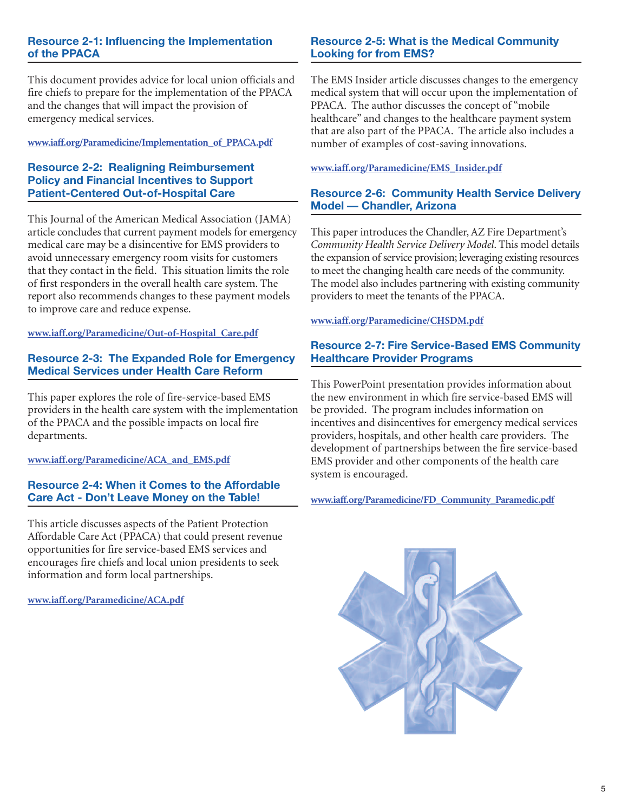# **Resource 2-1: Influencing the Implementation of the PPACA**

This document provides advice for local union officials and fire chiefs to prepare for the implementation of the PPACA and the changes that will impact the provision of emergency medical services.

#### **www.iaff.org/Paramedicine/Implementation\_of\_PPACA.pdf**

#### **Resource 2-2: Realigning Reimbursement Policy and Financial Incentives to Support Patient-Centered Out-of-Hospital Care**

This Journal of the American Medical Association (JAMA) article concludes that current payment models for emergency medical care may be a disincentive for EMS providers to avoid unnecessary emergency room visits for customers that they contact in the field. This situation limits the role of first responders in the overall health care system. The report also recommends changes to these payment models to improve care and reduce expense.

#### **www.iaff.org/Paramedicine/Out-of-Hospital\_Care.pdf**

# **Resource 2-3: The Expanded Role for Emergency Medical Services under Health Care Reform**

This paper explores the role of fire-service-based EMS providers in the health care system with the implementation of the PPACA and the possible impacts on local fire departments.

# **www.iaff.org/Paramedicine/ACA\_and\_EMS.pdf**

#### **Resource 2-4: When it Comes to the Affordable Care Act - Don't Leave Money on the Table!**

This article discusses aspects of the Patient Protection Affordable Care Act (PPACA) that could present revenue opportunities for fire service-based EMS services and encourages fire chiefs and local union presidents to seek information and form local partnerships.

**www.iaff.org/Paramedicine/ACA.pdf**

#### **Resource 2-5: What is the Medical Community Looking for from EMS?**

The EMS Insider article discusses changes to the emergency medical system that will occur upon the implementation of PPACA. The author discusses the concept of "mobile healthcare" and changes to the healthcare payment system that are also part of the PPACA. The article also includes a number of examples of cost-saving innovations.

#### **www.iaff.org/Paramedicine/EMS\_Insider.pdf**

#### **Resource 2-6: Community Health Service Delivery Model — Chandler, Arizona**

This paper introduces the Chandler, AZ Fire Department's *Community Health Service Delivery Model*. This model details the expansion of service provision; leveraging existing resources to meet the changing health care needs of the community. The model also includes partnering with existing community providers to meet the tenants of the PPACA.

#### **www.iaff.org/Paramedicine/CHSDM.pdf**

# **Resource 2-7: Fire Service-Based EMS Community Healthcare Provider Programs**

This PowerPoint presentation provides information about the new environment in which fire service-based EMS will be provided. The program includes information on incentives and disincentives for emergency medical services providers, hospitals, and other health care providers. The development of partnerships between the fire service-based EMS provider and other components of the health care system is encouraged.

#### **www.iaff.org/Paramedicine/FD\_Community\_Paramedic.pdf**